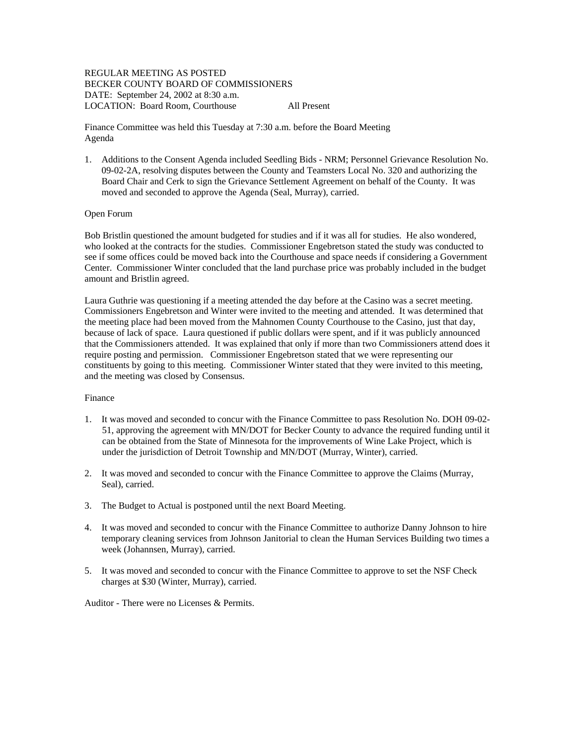## REGULAR MEETING AS POSTED BECKER COUNTY BOARD OF COMMISSIONERS DATE: September 24, 2002 at 8:30 a.m. LOCATION: Board Room, Courthouse All Present

Finance Committee was held this Tuesday at 7:30 a.m. before the Board Meeting Agenda

1. Additions to the Consent Agenda included Seedling Bids - NRM; Personnel Grievance Resolution No. 09-02-2A, resolving disputes between the County and Teamsters Local No. 320 and authorizing the Board Chair and Cerk to sign the Grievance Settlement Agreement on behalf of the County. It was moved and seconded to approve the Agenda (Seal, Murray), carried.

## Open Forum

Bob Bristlin questioned the amount budgeted for studies and if it was all for studies. He also wondered, who looked at the contracts for the studies. Commissioner Engebretson stated the study was conducted to see if some offices could be moved back into the Courthouse and space needs if considering a Government Center. Commissioner Winter concluded that the land purchase price was probably included in the budget amount and Bristlin agreed.

Laura Guthrie was questioning if a meeting attended the day before at the Casino was a secret meeting. Commissioners Engebretson and Winter were invited to the meeting and attended. It was determined that the meeting place had been moved from the Mahnomen County Courthouse to the Casino, just that day, because of lack of space. Laura questioned if public dollars were spent, and if it was publicly announced that the Commissioners attended. It was explained that only if more than two Commissioners attend does it require posting and permission. Commissioner Engebretson stated that we were representing our constituents by going to this meeting. Commissioner Winter stated that they were invited to this meeting, and the meeting was closed by Consensus.

### Finance

- 1. It was moved and seconded to concur with the Finance Committee to pass Resolution No. DOH 09-02- 51, approving the agreement with MN/DOT for Becker County to advance the required funding until it can be obtained from the State of Minnesota for the improvements of Wine Lake Project, which is under the jurisdiction of Detroit Township and MN/DOT (Murray, Winter), carried.
- 2. It was moved and seconded to concur with the Finance Committee to approve the Claims (Murray, Seal), carried.
- 3. The Budget to Actual is postponed until the next Board Meeting.
- 4. It was moved and seconded to concur with the Finance Committee to authorize Danny Johnson to hire temporary cleaning services from Johnson Janitorial to clean the Human Services Building two times a week (Johannsen, Murray), carried.
- 5. It was moved and seconded to concur with the Finance Committee to approve to set the NSF Check charges at \$30 (Winter, Murray), carried.

Auditor - There were no Licenses & Permits.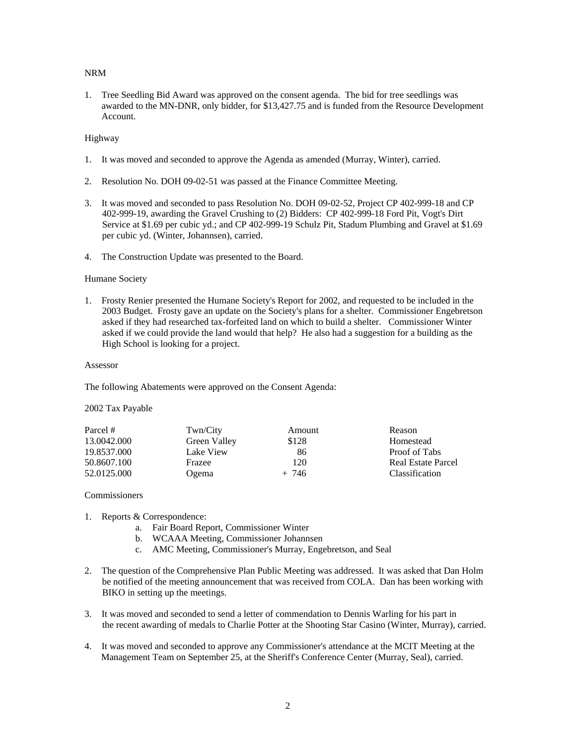## NRM

1. Tree Seedling Bid Award was approved on the consent agenda. The bid for tree seedlings was awarded to the MN-DNR, only bidder, for \$13,427.75 and is funded from the Resource Development Account.

## Highway

- 1. It was moved and seconded to approve the Agenda as amended (Murray, Winter), carried.
- 2. Resolution No. DOH 09-02-51 was passed at the Finance Committee Meeting.
- 3. It was moved and seconded to pass Resolution No. DOH 09-02-52, Project CP 402-999-18 and CP 402-999-19, awarding the Gravel Crushing to (2) Bidders: CP 402-999-18 Ford Pit, Vogt's Dirt Service at \$1.69 per cubic yd.; and CP 402-999-19 Schulz Pit, Stadum Plumbing and Gravel at \$1.69 per cubic yd. (Winter, Johannsen), carried.
- 4. The Construction Update was presented to the Board.

## Humane Society

1. Frosty Renier presented the Humane Society's Report for 2002, and requested to be included in the 2003 Budget. Frosty gave an update on the Society's plans for a shelter. Commissioner Engebretson asked if they had researched tax-forfeited land on which to build a shelter. Commissioner Winter asked if we could provide the land would that help? He also had a suggestion for a building as the High School is looking for a project.

#### Assessor

The following Abatements were approved on the Consent Agenda:

# 2002 Tax Payable

| Parcel #                                  | Twn/City     | Amount  | Reason                    |
|-------------------------------------------|--------------|---------|---------------------------|
| 13.0042.000                               | Green Valley | \$128   | Homestead                 |
| 19.8537.000<br>50.8607.100<br>52.0125.000 | Lake View    | 86      | Proof of Tabs             |
|                                           | Frazee       | 120     | <b>Real Estate Parcel</b> |
|                                           | Ogema        | $+ 746$ | <b>Classification</b>     |

### Commissioners

- 1. Reports & Correspondence:
	- a. Fair Board Report, Commissioner Winter
	- b. WCAAA Meeting, Commissioner Johannsen
	- c. AMC Meeting, Commissioner's Murray, Engebretson, and Seal
- 2. The question of the Comprehensive Plan Public Meeting was addressed. It was asked that Dan Holm be notified of the meeting announcement that was received from COLA. Dan has been working with BIKO in setting up the meetings.
- 3. It was moved and seconded to send a letter of commendation to Dennis Warling for his part in the recent awarding of medals to Charlie Potter at the Shooting Star Casino (Winter, Murray), carried.
- 4. It was moved and seconded to approve any Commissioner's attendance at the MCIT Meeting at the Management Team on September 25, at the Sheriff's Conference Center (Murray, Seal), carried.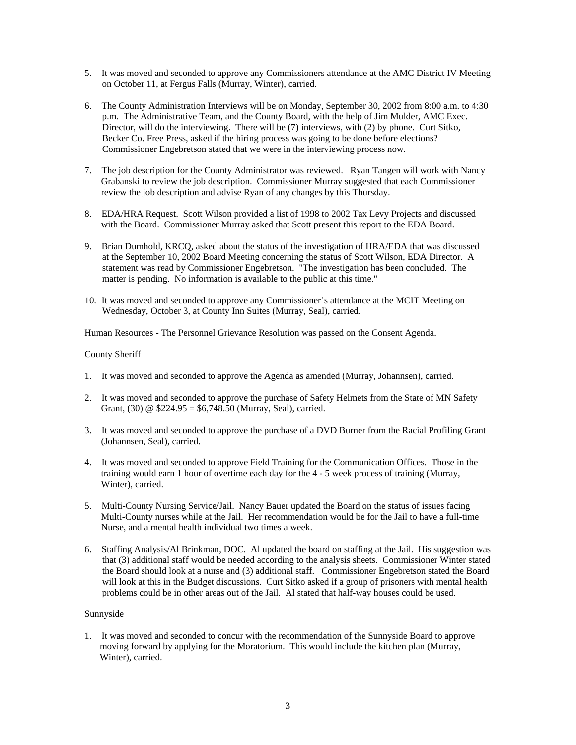- 5. It was moved and seconded to approve any Commissioners attendance at the AMC District IV Meeting on October 11, at Fergus Falls (Murray, Winter), carried.
- 6. The County Administration Interviews will be on Monday, September 30, 2002 from 8:00 a.m. to 4:30 p.m. The Administrative Team, and the County Board, with the help of Jim Mulder, AMC Exec. Director, will do the interviewing. There will be (7) interviews, with (2) by phone. Curt Sitko, Becker Co. Free Press, asked if the hiring process was going to be done before elections? Commissioner Engebretson stated that we were in the interviewing process now.
- 7. The job description for the County Administrator was reviewed. Ryan Tangen will work with Nancy Grabanski to review the job description. Commissioner Murray suggested that each Commissioner review the job description and advise Ryan of any changes by this Thursday.
- 8. EDA/HRA Request. Scott Wilson provided a list of 1998 to 2002 Tax Levy Projects and discussed with the Board. Commissioner Murray asked that Scott present this report to the EDA Board.
- 9. Brian Dumhold, KRCQ, asked about the status of the investigation of HRA/EDA that was discussed at the September 10, 2002 Board Meeting concerning the status of Scott Wilson, EDA Director. A statement was read by Commissioner Engebretson. "The investigation has been concluded. The matter is pending. No information is available to the public at this time."
- 10. It was moved and seconded to approve any Commissioner's attendance at the MCIT Meeting on Wednesday, October 3, at County Inn Suites (Murray, Seal), carried.

Human Resources - The Personnel Grievance Resolution was passed on the Consent Agenda.

### County Sheriff

- 1. It was moved and seconded to approve the Agenda as amended (Murray, Johannsen), carried.
- 2. It was moved and seconded to approve the purchase of Safety Helmets from the State of MN Safety Grant,  $(30)$  @ \$224.95 = \$6,748.50 (Murray, Seal), carried.
- 3. It was moved and seconded to approve the purchase of a DVD Burner from the Racial Profiling Grant (Johannsen, Seal), carried.
- 4. It was moved and seconded to approve Field Training for the Communication Offices. Those in the training would earn 1 hour of overtime each day for the 4 - 5 week process of training (Murray, Winter), carried.
- 5. Multi-County Nursing Service/Jail. Nancy Bauer updated the Board on the status of issues facing Multi-County nurses while at the Jail. Her recommendation would be for the Jail to have a full-time Nurse, and a mental health individual two times a week.
- 6. Staffing Analysis/Al Brinkman, DOC. Al updated the board on staffing at the Jail. His suggestion was that (3) additional staff would be needed according to the analysis sheets. Commissioner Winter stated the Board should look at a nurse and (3) additional staff. Commissioner Engebretson stated the Board will look at this in the Budget discussions. Curt Sitko asked if a group of prisoners with mental health problems could be in other areas out of the Jail. Al stated that half-way houses could be used.

### Sunnyside

1. It was moved and seconded to concur with the recommendation of the Sunnyside Board to approve moving forward by applying for the Moratorium. This would include the kitchen plan (Murray, Winter), carried.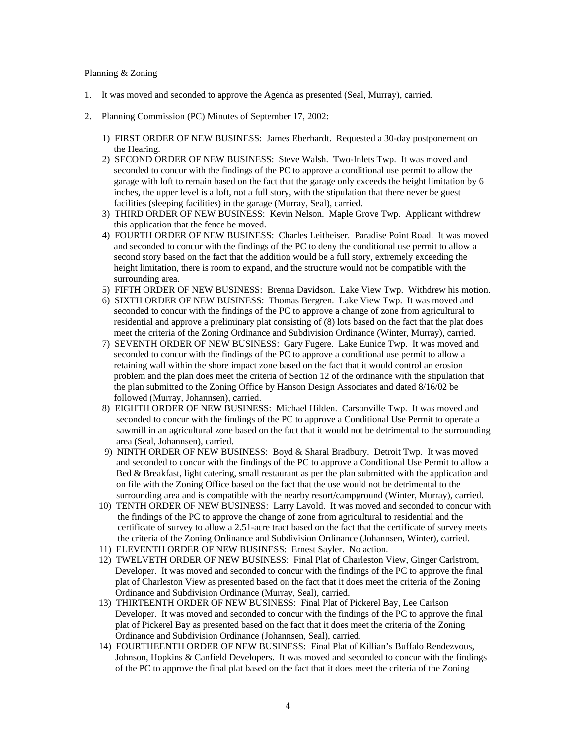### Planning & Zoning

- 1. It was moved and seconded to approve the Agenda as presented (Seal, Murray), carried.
- 2. Planning Commission (PC) Minutes of September 17, 2002:
	- 1) FIRST ORDER OF NEW BUSINESS: James Eberhardt. Requested a 30-day postponement on the Hearing.
	- 2) SECOND ORDER OF NEW BUSINESS: Steve Walsh. Two-Inlets Twp. It was moved and seconded to concur with the findings of the PC to approve a conditional use permit to allow the garage with loft to remain based on the fact that the garage only exceeds the height limitation by 6 inches, the upper level is a loft, not a full story, with the stipulation that there never be guest facilities (sleeping facilities) in the garage (Murray, Seal), carried.
	- 3) THIRD ORDER OF NEW BUSINESS: Kevin Nelson. Maple Grove Twp. Applicant withdrew this application that the fence be moved.
	- 4) FOURTH ORDER OF NEW BUSINESS: Charles Leitheiser. Paradise Point Road. It was moved and seconded to concur with the findings of the PC to deny the conditional use permit to allow a second story based on the fact that the addition would be a full story, extremely exceeding the height limitation, there is room to expand, and the structure would not be compatible with the surrounding area.
	- 5) FIFTH ORDER OF NEW BUSINESS: Brenna Davidson. Lake View Twp. Withdrew his motion.
	- 6) SIXTH ORDER OF NEW BUSINESS: Thomas Bergren. Lake View Twp. It was moved and seconded to concur with the findings of the PC to approve a change of zone from agricultural to residential and approve a preliminary plat consisting of (8) lots based on the fact that the plat does meet the criteria of the Zoning Ordinance and Subdivision Ordinance (Winter, Murray), carried.
	- 7) SEVENTH ORDER OF NEW BUSINESS: Gary Fugere. Lake Eunice Twp. It was moved and seconded to concur with the findings of the PC to approve a conditional use permit to allow a retaining wall within the shore impact zone based on the fact that it would control an erosion problem and the plan does meet the criteria of Section 12 of the ordinance with the stipulation that the plan submitted to the Zoning Office by Hanson Design Associates and dated 8/16/02 be followed (Murray, Johannsen), carried.
	- 8) EIGHTH ORDER OF NEW BUSINESS: Michael Hilden. Carsonville Twp. It was moved and seconded to concur with the findings of the PC to approve a Conditional Use Permit to operate a sawmill in an agricultural zone based on the fact that it would not be detrimental to the surrounding area (Seal, Johannsen), carried.
	- 9) NINTH ORDER OF NEW BUSINESS: Boyd & Sharal Bradbury. Detroit Twp. It was moved and seconded to concur with the findings of the PC to approve a Conditional Use Permit to allow a Bed & Breakfast, light catering, small restaurant as per the plan submitted with the application and on file with the Zoning Office based on the fact that the use would not be detrimental to the surrounding area and is compatible with the nearby resort/campground (Winter, Murray), carried.
	- 10) TENTH ORDER OF NEW BUSINESS: Larry Lavold. It was moved and seconded to concur with the findings of the PC to approve the change of zone from agricultural to residential and the certificate of survey to allow a 2.51-acre tract based on the fact that the certificate of survey meets the criteria of the Zoning Ordinance and Subdivision Ordinance (Johannsen, Winter), carried.
	- 11) ELEVENTH ORDER OF NEW BUSINESS: Ernest Sayler. No action.
	- 12) TWELVETH ORDER OF NEW BUSINESS: Final Plat of Charleston View, Ginger Carlstrom, Developer. It was moved and seconded to concur with the findings of the PC to approve the final plat of Charleston View as presented based on the fact that it does meet the criteria of the Zoning Ordinance and Subdivision Ordinance (Murray, Seal), carried.
	- 13) THIRTEENTH ORDER OF NEW BUSINESS: Final Plat of Pickerel Bay, Lee Carlson Developer. It was moved and seconded to concur with the findings of the PC to approve the final plat of Pickerel Bay as presented based on the fact that it does meet the criteria of the Zoning Ordinance and Subdivision Ordinance (Johannsen, Seal), carried.
	- 14) FOURTHEENTH ORDER OF NEW BUSINESS: Final Plat of Killian's Buffalo Rendezvous, Johnson, Hopkins & Canfield Developers. It was moved and seconded to concur with the findings of the PC to approve the final plat based on the fact that it does meet the criteria of the Zoning